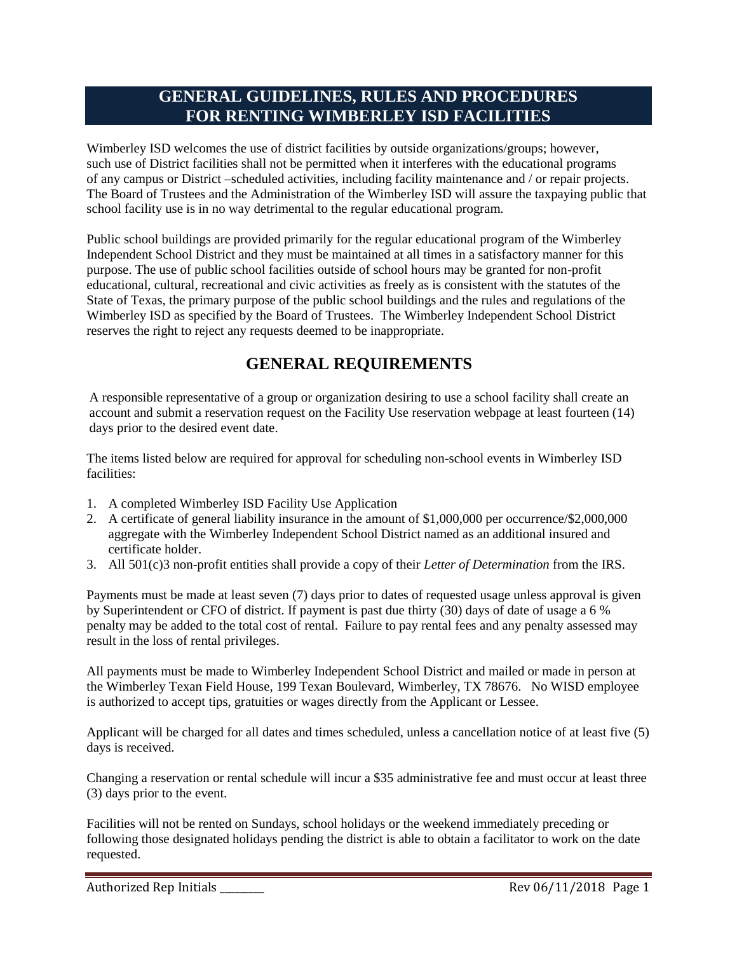## **GENERAL GUIDELINES, RULES AND PROCEDURES FOR RENTING WIMBERLEY ISD FACILITIES**

Wimberley ISD welcomes the use of district facilities by outside organizations/groups; however, such use of District facilities shall not be permitted when it interferes with the educational programs of any campus or District –scheduled activities, including facility maintenance and / or repair projects. The Board of Trustees and the Administration of the Wimberley ISD will assure the taxpaying public that school facility use is in no way detrimental to the regular educational program.

Public school buildings are provided primarily for the regular educational program of the Wimberley Independent School District and they must be maintained at all times in a satisfactory manner for this purpose. The use of public school facilities outside of school hours may be granted for non-profit educational, cultural, recreational and civic activities as freely as is consistent with the statutes of the State of Texas, the primary purpose of the public school buildings and the rules and regulations of the Wimberley ISD as specified by the Board of Trustees. The Wimberley Independent School District reserves the right to reject any requests deemed to be inappropriate.

# **GENERAL REQUIREMENTS**

A responsible representative of a group or organization desiring to use a school facility shall create an account and submit a reservation request on the Facility Use reservation webpage at least fourteen (14) days prior to the desired event date.

The items listed below are required for approval for scheduling non-school events in Wimberley ISD facilities:

- 1. A completed Wimberley ISD Facility Use Application
- 2. A certificate of general liability insurance in the amount of \$1,000,000 per occurrence/\$2,000,000 aggregate with the Wimberley Independent School District named as an additional insured and certificate holder.
- 3. All 501(c)3 non-profit entities shall provide a copy of their *Letter of Determination* from the IRS.

Payments must be made at least seven (7) days prior to dates of requested usage unless approval is given by Superintendent or CFO of district. If payment is past due thirty (30) days of date of usage a 6 % penalty may be added to the total cost of rental. Failure to pay rental fees and any penalty assessed may result in the loss of rental privileges.

All payments must be made to Wimberley Independent School District and mailed or made in person at the Wimberley Texan Field House, 199 Texan Boulevard, Wimberley, TX 78676. No WISD employee is authorized to accept tips, gratuities or wages directly from the Applicant or Lessee.

Applicant will be charged for all dates and times scheduled, unless a cancellation notice of at least five (5) days is received.

Changing a reservation or rental schedule will incur a \$35 administrative fee and must occur at least three (3) days prior to the event.

Facilities will not be rented on Sundays, school holidays or the weekend immediately preceding or following those designated holidays pending the district is able to obtain a facilitator to work on the date requested.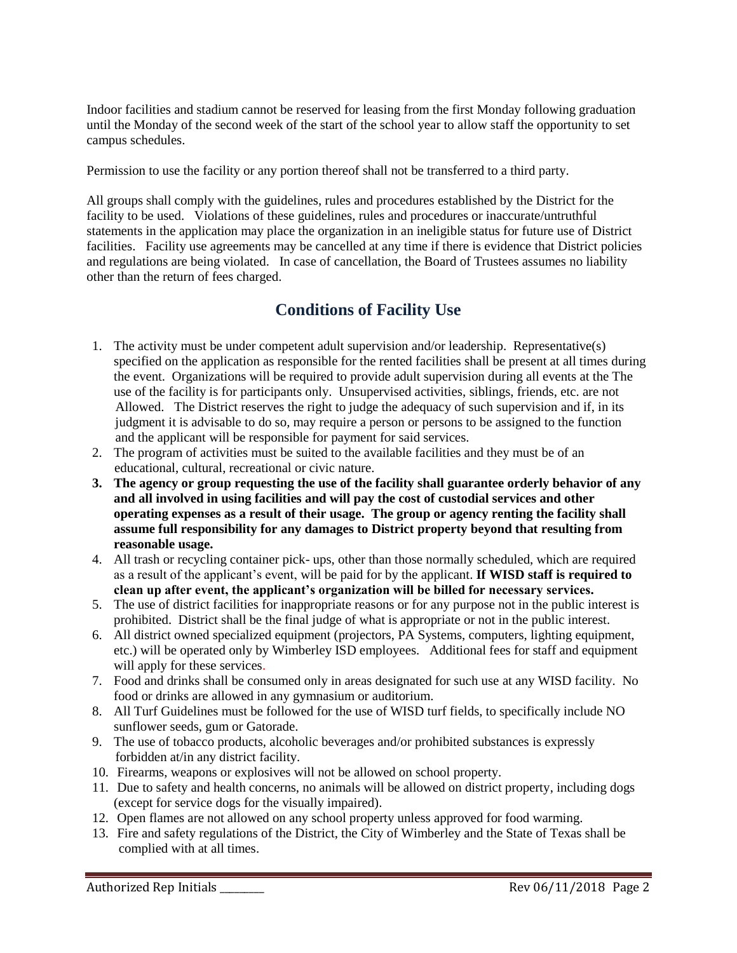Indoor facilities and stadium cannot be reserved for leasing from the first Monday following graduation until the Monday of the second week of the start of the school year to allow staff the opportunity to set campus schedules.

Permission to use the facility or any portion thereof shall not be transferred to a third party.

All groups shall comply with the guidelines, rules and procedures established by the District for the facility to be used. Violations of these guidelines, rules and procedures or inaccurate/untruthful statements in the application may place the organization in an ineligible status for future use of District facilities. Facility use agreements may be cancelled at any time if there is evidence that District policies and regulations are being violated. In case of cancellation, the Board of Trustees assumes no liability other than the return of fees charged.

# **Conditions of Facility Use**

- 1. The activity must be under competent adult supervision and/or leadership. Representative(s) specified on the application as responsible for the rented facilities shall be present at all times during the event. Organizations will be required to provide adult supervision during all events at the The use of the facility is for participants only. Unsupervised activities, siblings, friends, etc. are not Allowed. The District reserves the right to judge the adequacy of such supervision and if, in its judgment it is advisable to do so, may require a person or persons to be assigned to the function and the applicant will be responsible for payment for said services.
- 2. The program of activities must be suited to the available facilities and they must be of an educational, cultural, recreational or civic nature.
- **3. The agency or group requesting the use of the facility shall guarantee orderly behavior of any and all involved in using facilities and will pay the cost of custodial services and other operating expenses as a result of their usage. The group or agency renting the facility shall assume full responsibility for any damages to District property beyond that resulting from reasonable usage.**
- 4. All trash or recycling container pick- ups, other than those normally scheduled, which are required as a result of the applicant's event, will be paid for by the applicant. **If WISD staff is required to clean up after event, the applicant's organization will be billed for necessary services.**
- 5. The use of district facilities for inappropriate reasons or for any purpose not in the public interest is prohibited. District shall be the final judge of what is appropriate or not in the public interest.
- 6. All district owned specialized equipment (projectors, PA Systems, computers, lighting equipment, etc.) will be operated only by Wimberley ISD employees. Additional fees for staff and equipment will apply for these services.
- 7. Food and drinks shall be consumed only in areas designated for such use at any WISD facility. No food or drinks are allowed in any gymnasium or auditorium.
- 8. All Turf Guidelines must be followed for the use of WISD turf fields, to specifically include NO sunflower seeds, gum or Gatorade.
- 9. The use of tobacco products, alcoholic beverages and/or prohibited substances is expressly forbidden at/in any district facility.
- 10. Firearms, weapons or explosives will not be allowed on school property.
- 11. Due to safety and health concerns, no animals will be allowed on district property, including dogs (except for service dogs for the visually impaired).
- 12. Open flames are not allowed on any school property unless approved for food warming.
- 13. Fire and safety regulations of the District, the City of Wimberley and the State of Texas shall be complied with at all times.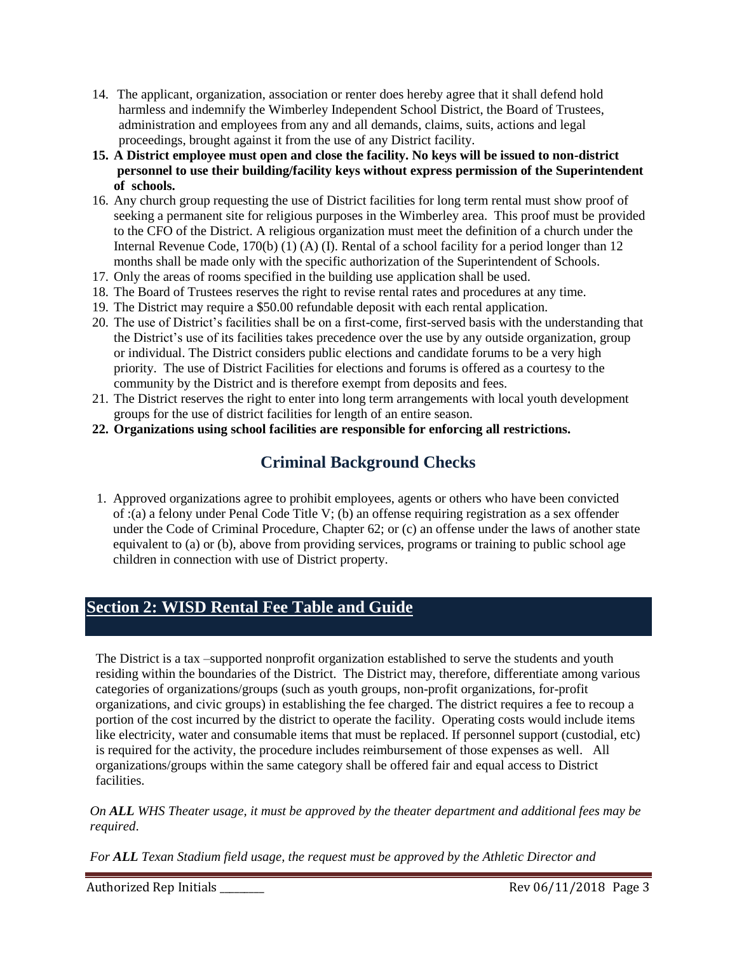- 14. The applicant, organization, association or renter does hereby agree that it shall defend hold harmless and indemnify the Wimberley Independent School District, the Board of Trustees, administration and employees from any and all demands, claims, suits, actions and legal proceedings, brought against it from the use of any District facility.
- **15. A District employee must open and close the facility. No keys will be issued to non-district personnel to use their building/facility keys without express permission of the Superintendent of schools.**
- 16. Any church group requesting the use of District facilities for long term rental must show proof of seeking a permanent site for religious purposes in the Wimberley area. This proof must be provided to the CFO of the District. A religious organization must meet the definition of a church under the Internal Revenue Code, 170(b) (1) (A) (I). Rental of a school facility for a period longer than 12 months shall be made only with the specific authorization of the Superintendent of Schools.
- 17. Only the areas of rooms specified in the building use application shall be used.
- 18. The Board of Trustees reserves the right to revise rental rates and procedures at any time.
- 19. The District may require a \$50.00 refundable deposit with each rental application.
- 20. The use of District's facilities shall be on a first-come, first-served basis with the understanding that the District's use of its facilities takes precedence over the use by any outside organization, group or individual. The District considers public elections and candidate forums to be a very high priority. The use of District Facilities for elections and forums is offered as a courtesy to the community by the District and is therefore exempt from deposits and fees.
- 21. The District reserves the right to enter into long term arrangements with local youth development groups for the use of district facilities for length of an entire season.
- **22. Organizations using school facilities are responsible for enforcing all restrictions.**

# **Criminal Background Checks**

 1. Approved organizations agree to prohibit employees, agents or others who have been convicted of :(a) a felony under Penal Code Title V; (b) an offense requiring registration as a sex offender under the Code of Criminal Procedure, Chapter 62; or (c) an offense under the laws of another state equivalent to (a) or (b), above from providing services, programs or training to public school age children in connection with use of District property.

# **Section 2: WISD Rental Fee Table and Guide**

 The District is a tax –supported nonprofit organization established to serve the students and youth residing within the boundaries of the District. The District may, therefore, differentiate among various categories of organizations/groups (such as youth groups, non-profit organizations, for-profit organizations, and civic groups) in establishing the fee charged. The district requires a fee to recoup a portion of the cost incurred by the district to operate the facility. Operating costs would include items like electricity, water and consumable items that must be replaced. If personnel support (custodial, etc) is required for the activity, the procedure includes reimbursement of those expenses as well. All organizations/groups within the same category shall be offered fair and equal access to District facilities.

*On ALL WHS Theater usage, it must be approved by the theater department and additional fees may be required*.

*For ALL Texan Stadium field usage, the request must be approved by the Athletic Director and*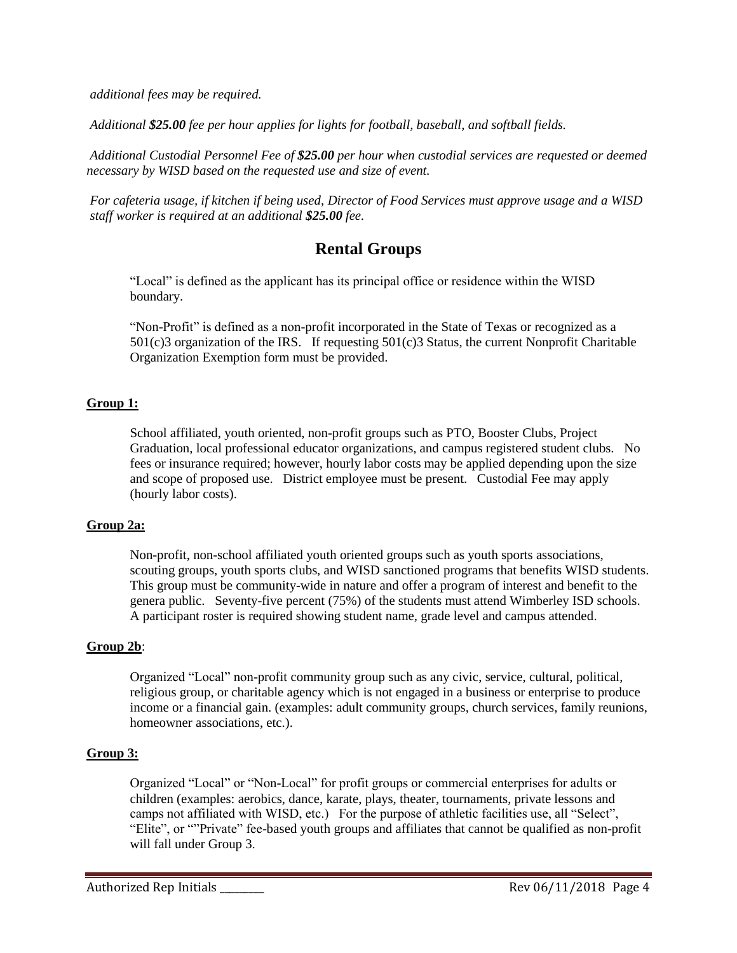*additional fees may be required.* 

*Additional \$25.00 fee per hour applies for lights for football, baseball, and softball fields.*

*Additional Custodial Personnel Fee of \$25.00 per hour when custodial services are requested or deemed necessary by WISD based on the requested use and size of event.*

*For cafeteria usage, if kitchen if being used, Director of Food Services must approve usage and a WISD staff worker is required at an additional \$25.00 fee.*

### **Rental Groups**

"Local" is defined as the applicant has its principal office or residence within the WISD boundary.

"Non-Profit" is defined as a non-profit incorporated in the State of Texas or recognized as a 501(c)3 organization of the IRS. If requesting 501(c)3 Status, the current Nonprofit Charitable Organization Exemption form must be provided.

#### **Group 1:**

School affiliated, youth oriented, non-profit groups such as PTO, Booster Clubs, Project Graduation, local professional educator organizations, and campus registered student clubs. No fees or insurance required; however, hourly labor costs may be applied depending upon the size and scope of proposed use. District employee must be present. Custodial Fee may apply (hourly labor costs).

#### **Group 2a:**

Non-profit, non-school affiliated youth oriented groups such as youth sports associations, scouting groups, youth sports clubs, and WISD sanctioned programs that benefits WISD students. This group must be community-wide in nature and offer a program of interest and benefit to the genera public. Seventy-five percent (75%) of the students must attend Wimberley ISD schools. A participant roster is required showing student name, grade level and campus attended.

#### **Group 2b**:

Organized "Local" non-profit community group such as any civic, service, cultural, political, religious group, or charitable agency which is not engaged in a business or enterprise to produce income or a financial gain. (examples: adult community groups, church services, family reunions, homeowner associations, etc.).

#### **Group 3:**

Organized "Local" or "Non-Local" for profit groups or commercial enterprises for adults or children (examples: aerobics, dance, karate, plays, theater, tournaments, private lessons and camps not affiliated with WISD, etc.) For the purpose of athletic facilities use, all "Select", "Elite", or ""Private" fee-based youth groups and affiliates that cannot be qualified as non-profit will fall under Group 3.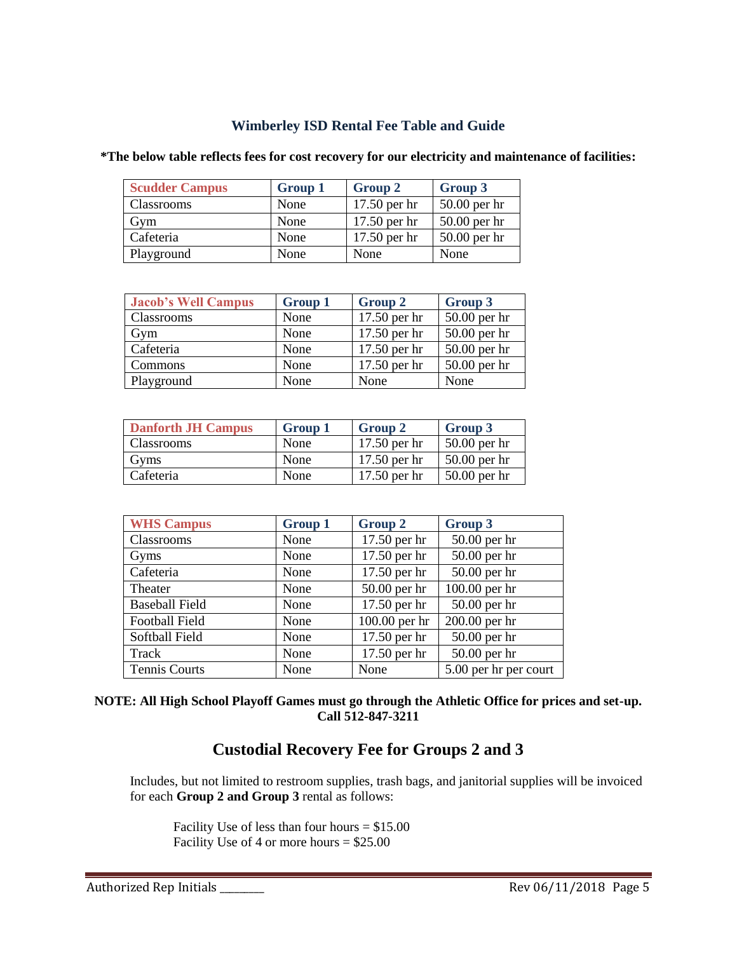### **Wimberley ISD Rental Fee Table and Guide**

| <b>Scudder Campus</b> | <b>Group 1</b> | Group 2        | Group 3        |
|-----------------------|----------------|----------------|----------------|
| Classrooms            | None           | 17.50 per hr   | $50.00$ per hr |
| Gym                   | None           | $17.50$ per hr | $50.00$ per hr |
| Cafeteria             | None           | 17.50 per hr   | 50.00 per hr   |
| Playground            | None           | None           | None           |

| *The below table reflects fees for cost recovery for our electricity and maintenance of facilities: |  |  |
|-----------------------------------------------------------------------------------------------------|--|--|
|-----------------------------------------------------------------------------------------------------|--|--|

| <b>Jacob's Well Campus</b> | <b>Group 1</b> | <b>Group 2</b> | <b>Group 3</b> |
|----------------------------|----------------|----------------|----------------|
| Classrooms                 | None           | 17.50 per hr   | $50.00$ per hr |
| Gym                        | None           | 17.50 per hr   | $50.00$ per hr |
| Cafeteria                  | None           | 17.50 per hr   | $50.00$ per hr |
| <b>Commons</b>             | None           | 17.50 per hr   | $50.00$ per hr |
| Playground                 | None           | None           | None           |

| <b>Danforth JH Campus</b> | Group 1 | Group 2        | Group 3        |
|---------------------------|---------|----------------|----------------|
| <b>Classrooms</b>         | None    | $17.50$ per hr | $50.00$ per hr |
| Gyms                      | None    | $17.50$ per hr | $50.00$ per hr |
| Cafeteria                 | None    | $17.50$ per hr | $50.00$ per hr |

| <b>WHS Campus</b>     | <b>Group 1</b> | <b>Group 2</b> | <b>Group 3</b>        |
|-----------------------|----------------|----------------|-----------------------|
| Classrooms            | None           | 17.50 per hr   | 50.00 per hr          |
| Gyms                  | None           | 17.50 per hr   | 50.00 per hr          |
| Cafeteria             | None           | 17.50 per hr   | 50.00 per hr          |
| Theater               | None           | $50.00$ per hr | 100.00 per hr         |
| <b>Baseball Field</b> | None           | 17.50 per hr   | 50.00 per hr          |
| <b>Football Field</b> | None           | 100.00 per hr  | 200.00 per hr         |
| Softball Field        | None           | 17.50 per hr   | 50.00 per hr          |
| Track                 | None           | 17.50 per hr   | 50.00 per hr          |
| <b>Tennis Courts</b>  | None           | None           | 5.00 per hr per court |

#### **NOTE: All High School Playoff Games must go through the Athletic Office for prices and set-up. Call 512-847-3211**

### **Custodial Recovery Fee for Groups 2 and 3**

Includes, but not limited to restroom supplies, trash bags, and janitorial supplies will be invoiced for each **Group 2 and Group 3** rental as follows:

Facility Use of less than four hours = \$15.00 Facility Use of 4 or more hours  $= $25.00$